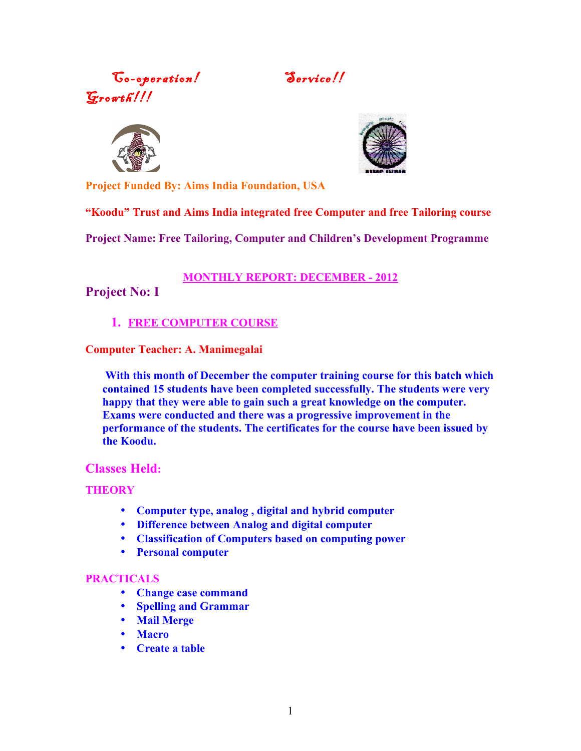Go-operation! Service!!  $G$ rowth!!!





**Project Funded By: Aims India Foundation, USA**

**"Koodu" Trust and Aims India integrated free Computer and free Tailoring course**

**Project Name: Free Tailoring, Computer and Children's Development Programme**

### **MONTHLY REPORT: DECEMBER - 2012**

**Project No: I**

## **1. FREE COMPUTER COURSE**

**Computer Teacher: A. Manimegalai**

 **With this month of December the computer training course for this batch which contained 15 students have been completed successfully. The students were very happy that they were able to gain such a great knowledge on the computer. Exams were conducted and there was a progressive improvement in the performance of the students. The certificates for the course have been issued by the Koodu.** 

### **Classes Held:**

### **THEORY**

- **Computer type, analog , digital and hybrid computer**
- **Difference between Analog and digital computer**
- **Classification of Computers based on computing power**
- **Personal computer**

### **PRACTICALS**

- **Change case command**
- **Spelling and Grammar**
- **Mail Merge**
- **Macro**
- **Create a table**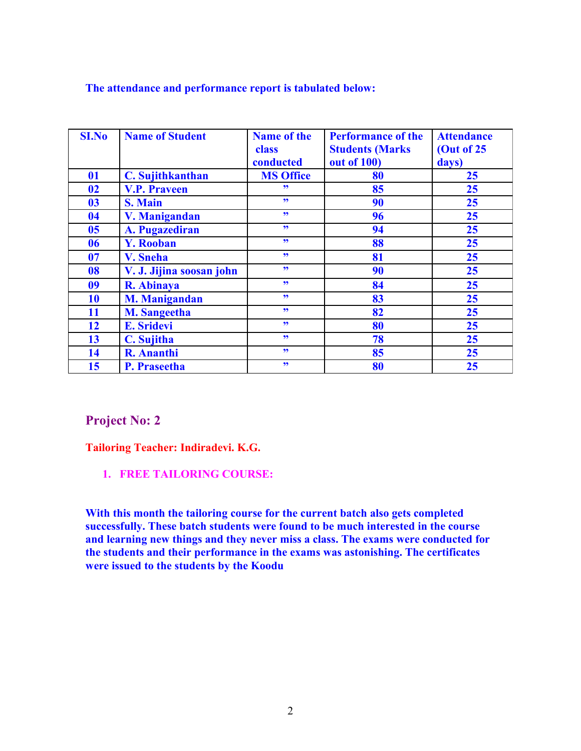#### **The attendance and performance report is tabulated below:**

| <b>SI.No</b>   | <b>Name of Student</b>   | <b>Name of the</b><br>class<br>conducted | <b>Performance of the</b><br><b>Students (Marks)</b><br><b>out of 100)</b> | <b>Attendance</b><br>(Out of 25<br>days) |
|----------------|--------------------------|------------------------------------------|----------------------------------------------------------------------------|------------------------------------------|
| <b>01</b>      | C. Sujithkanthan         | <b>MS Office</b>                         | 80                                                                         | 25                                       |
| 02             | <b>V.P. Praveen</b>      | 99                                       | 85                                                                         | 25                                       |
| 03             | <b>S. Main</b>           | 99                                       | 90                                                                         | 25                                       |
| 04             | V. Manigandan            | 99                                       | 96                                                                         | 25                                       |
| 0 <sub>5</sub> | A. Pugazediran           | 99                                       | 94                                                                         | 25                                       |
| 06             | <b>Y. Rooban</b>         | 99                                       | 88                                                                         | 25                                       |
| 07             | V. Sneha                 | 99                                       | 81                                                                         | 25                                       |
| 08             | V. J. Jijina soosan john | 55                                       | 90                                                                         | 25                                       |
| 09             | R. Abinaya               | 55                                       | 84                                                                         | 25                                       |
| 10             | <b>M. Manigandan</b>     | 99                                       | 83                                                                         | 25                                       |
| 11             | <b>M. Sangeetha</b>      | 55                                       | 82                                                                         | 25                                       |
| 12             | <b>E. Sridevi</b>        | 99                                       | 80                                                                         | 25                                       |
| 13             | C. Sujitha               | 99                                       | 78                                                                         | 25                                       |
| 14             | <b>R.</b> Ananthi        | 99                                       | 85                                                                         | 25                                       |
| 15             | <b>P.</b> Praseetha      | 99                                       | 80                                                                         | 25                                       |

## **Project No: 2**

**Tailoring Teacher: Indiradevi. K.G.**

**1. FREE TAILORING COURSE:**

**With this month the tailoring course for the current batch also gets completed successfully. These batch students were found to be much interested in the course and learning new things and they never miss a class. The exams were conducted for the students and their performance in the exams was astonishing. The certificates were issued to the students by the Koodu**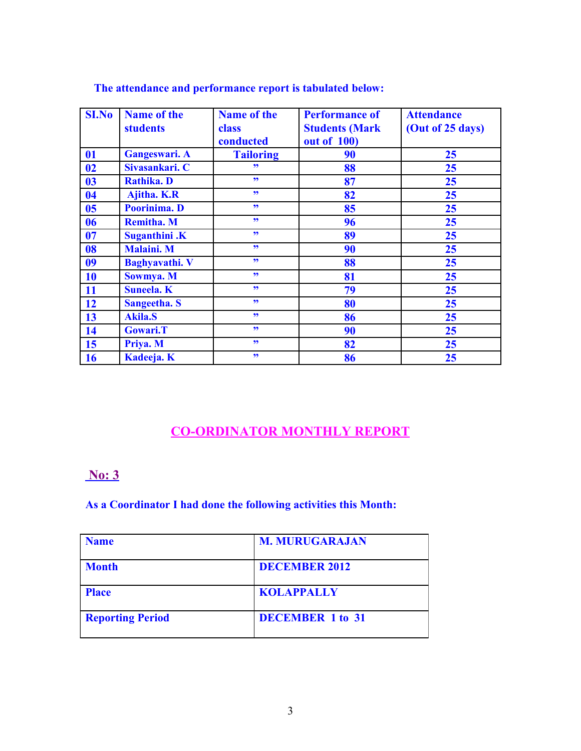| <b>SI.No</b>   | <b>Name of the</b><br><b>students</b> | <b>Name of the</b><br>class<br>conducted | <b>Performance of</b><br><b>Students (Mark</b><br>out of 100) | <b>Attendance</b><br>(Out of 25 days) |  |
|----------------|---------------------------------------|------------------------------------------|---------------------------------------------------------------|---------------------------------------|--|
| <b>01</b>      | Gangeswari. A                         | <b>Tailoring</b>                         | 90                                                            | 25                                    |  |
| 02             | Sivasankari. C                        | 99                                       | 88                                                            | 25                                    |  |
| 03             | <b>Rathika. D</b>                     | 99                                       | 87                                                            | 25                                    |  |
| 04             | Ajitha. K.R                           | 99                                       | 82                                                            | 25                                    |  |
| 0 <sub>5</sub> | Poorinima. D                          | 99                                       | 85                                                            | 25                                    |  |
| 06             | <b>Remitha. M</b>                     | 99                                       | 96                                                            | 25                                    |  |
| 07             | <b>Suganthini</b> .K                  | 99                                       | 89                                                            | 25                                    |  |
| 08             | <b>Malaini. M</b>                     | 99                                       | 90                                                            | 25                                    |  |
| 09             | <b>Baghyavathi.</b> V                 | 99                                       | 88                                                            | 25                                    |  |
| 10             | Sowmya. M                             | 99                                       | 81                                                            | 25                                    |  |
| 11             | <b>Suneela</b> . <b>K</b>             | 99                                       | 79                                                            | 25                                    |  |
| 12             | <b>Sangeetha. S</b>                   | 99                                       | 80                                                            | 25                                    |  |
| 13             | <b>Akila.S</b>                        | 99                                       | 86                                                            | 25                                    |  |
| 14             | <b>Gowari.T</b>                       | 99                                       | 90                                                            | 25                                    |  |
| 15             | Priya. M                              | 99                                       | 82                                                            | 25                                    |  |
| 16             | Kadeeja. K                            | 99                                       | 86                                                            | 25                                    |  |

### **The attendance and performance report is tabulated below:**

# **CO-ORDINATOR MONTHLY REPORT**

## **No: 3**

### **As a Coordinator I had done the following activities this Month:**

| <b>Name</b>             | <b>M. MURUGARAJAN</b>   |
|-------------------------|-------------------------|
| <b>Month</b>            | <b>DECEMBER 2012</b>    |
| <b>Place</b>            | <b>KOLAPPALLY</b>       |
| <b>Reporting Period</b> | <b>DECEMBER 1 to 31</b> |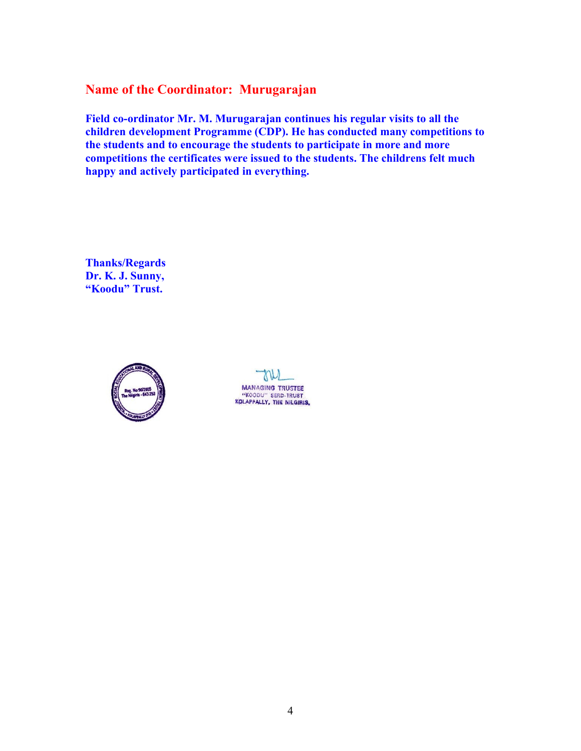## **Name of the Coordinator: Murugarajan**

**Field co-ordinator Mr. M. Murugarajan continues his regular visits to all the children development Programme (CDP). He has conducted many competitions to the students and to encourage the students to participate in more and more competitions the certificates were issued to the students. The childrens felt much happy and actively participated in everything.**

**Thanks/Regards Dr. K. J. Sunny, "Koodu" Trust.**



TV **MANAGING TRUSTEE** "KOODU" SERD-TRUST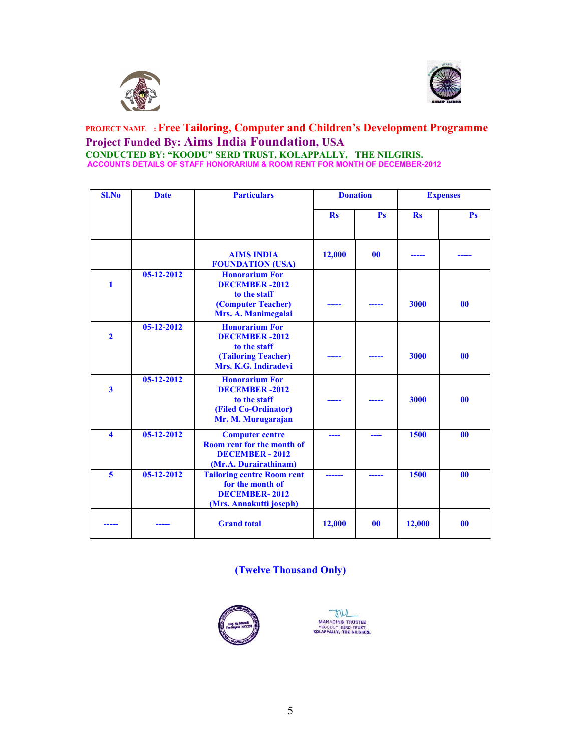



#### **PROJECT NAME : Free Tailoring, Computer and Children's Development Programme Project Funded By: Aims India Foundation, USA CONDUCTED BY: "KOODU" SERD TRUST, KOLAPPALLY, THE NILGIRIS. ACCOUNTS DETAILS OF STAFF HONORARIUM & ROOM RENT FOR MONTH OF DECEMBER-2012**

| <b>Sl.No</b>            | <b>Date</b>      | <b>Particulars</b>                                                                                           | <b>Donation</b> |           | <b>Expenses</b> |                |
|-------------------------|------------------|--------------------------------------------------------------------------------------------------------------|-----------------|-----------|-----------------|----------------|
|                         |                  |                                                                                                              | $\mathbf{Rs}$   | Ps        | <b>Rs</b>       | P <sub>S</sub> |
|                         |                  | <b>AIMS INDIA</b><br><b>FOUNDATION (USA)</b>                                                                 | 12,000          | $\bf{00}$ |                 |                |
| $\mathbf{1}$            | $05-12-2012$     | <b>Honorarium For</b><br><b>DECEMBER -2012</b><br>to the staff<br>(Computer Teacher)<br>Mrs. A. Manimegalai  |                 |           | 3000            | $\bf{00}$      |
| $\overline{2}$          | $05 - 12 - 2012$ | <b>Honorarium For</b><br><b>DECEMBER-2012</b><br>to the staff<br>(Tailoring Teacher)<br>Mrs. K.G. Indiradevi |                 |           | 3000            | 0 <sub>0</sub> |
| $\mathbf{3}$            | 05-12-2012       | <b>Honorarium For</b><br><b>DECEMBER -2012</b><br>to the staff<br>(Filed Co-Ordinator)<br>Mr. M. Murugarajan |                 |           | 3000            | 00             |
| $\blacktriangle$        | $05 - 12 - 2012$ | <b>Computer centre</b><br>Room rent for the month of<br><b>DECEMBER - 2012</b><br>(Mr.A. Durairathinam)      |                 |           | 1500            | 0 <sub>0</sub> |
| $\overline{\mathbf{5}}$ | 05-12-2012       | <b>Tailoring centre Room rent</b><br>for the month of<br><b>DECEMBER-2012</b><br>(Mrs. Annakutti joseph)     |                 |           | 1500            | 00             |
|                         |                  | <b>Grand</b> total                                                                                           | 12,000          | $\bf{00}$ | 12,000          | 0 <sub>0</sub> |

### **(Twelve Thousand Only)**



MANAGING TRUSTEE<br>"KOODU" SERD-TRUST<br>KOLAPPALLY, THE NILGIRIS.